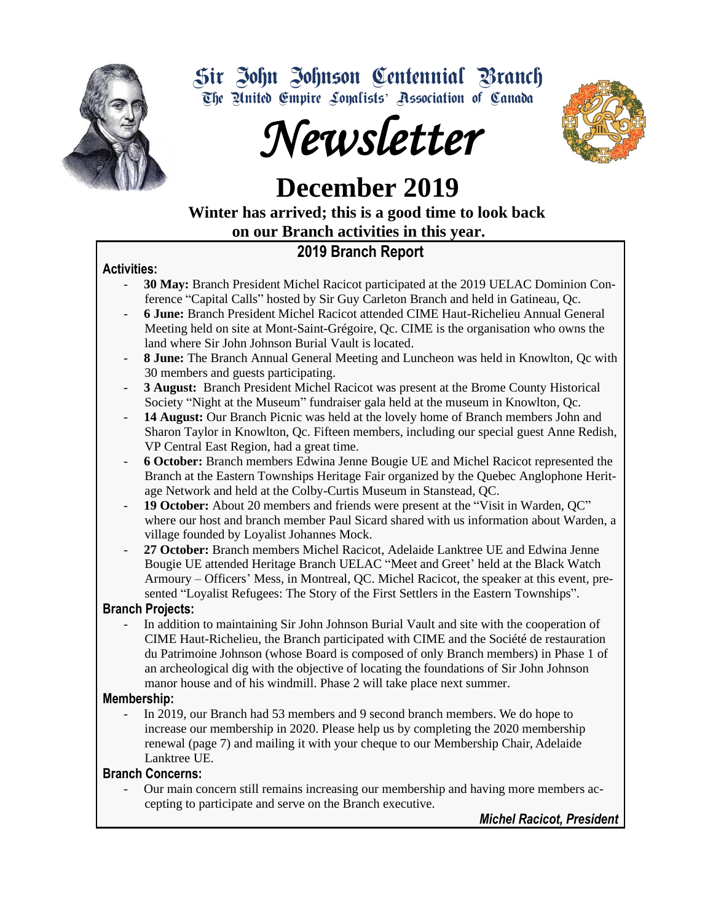

Sir John Johnson Centennial Branch The United Empire Loyalists' Association of Canada





 **December 2019**

 **Winter has arrived; this is a good time to look back on our Branch activities in this year.** 

## **2019 Branch Report**

### **Activities:**

- **30 May:** Branch President Michel Racicot participated at the 2019 UELAC Dominion Conference "Capital Calls" hosted by Sir Guy Carleton Branch and held in Gatineau, Qc.
- **6 June:** Branch President Michel Racicot attended CIME Haut-Richelieu Annual General Meeting held on site at Mont-Saint-Grégoire, Qc. CIME is the organisation who owns the land where Sir John Johnson Burial Vault is located.
- **8 June:** The Branch Annual General Meeting and Luncheon was held in Knowlton, Qc with 30 members and guests participating.
- **3 August:** Branch President Michel Racicot was present at the Brome County Historical Society "Night at the Museum" fundraiser gala held at the museum in Knowlton, Qc.
- **14 August:** Our Branch Picnic was held at the lovely home of Branch members John and Sharon Taylor in Knowlton, Qc. Fifteen members, including our special guest Anne Redish, VP Central East Region, had a great time.
- **6 October:** Branch members Edwina Jenne Bougie UE and Michel Racicot represented the Branch at the Eastern Townships Heritage Fair organized by the Quebec Anglophone Heritage Network and held at the Colby-Curtis Museum in Stanstead, QC.
- 19 October: About 20 members and friends were present at the "Visit in Warden, QC" where our host and branch member Paul Sicard shared with us information about Warden, a village founded by Loyalist Johannes Mock.
- **27 October:** Branch members Michel Racicot, Adelaide Lanktree UE and Edwina Jenne Bougie UE attended Heritage Branch UELAC "Meet and Greet' held at the Black Watch Armoury – Officers' Mess, in Montreal, QC. Michel Racicot, the speaker at this event, presented "Loyalist Refugees: The Story of the First Settlers in the Eastern Townships".

### **Branch Projects:**

- In addition to maintaining Sir John Johnson Burial Vault and site with the cooperation of CIME Haut-Richelieu, the Branch participated with CIME and the Société de restauration du Patrimoine Johnson (whose Board is composed of only Branch members) in Phase 1 of an archeological dig with the objective of locating the foundations of Sir John Johnson manor house and of his windmill. Phase 2 will take place next summer.

### **Membership:**

- In 2019, our Branch had 53 members and 9 second branch members. We do hope to increase our membership in 2020. Please help us by completing the 2020 membership renewal (page 7) and mailing it with your cheque to our Membership Chair, Adelaide Lanktree UE.

### **Branch Concerns:**

- Our main concern still remains increasing our membership and having more members accepting to participate and serve on the Branch executive.

*Michel Racicot, President*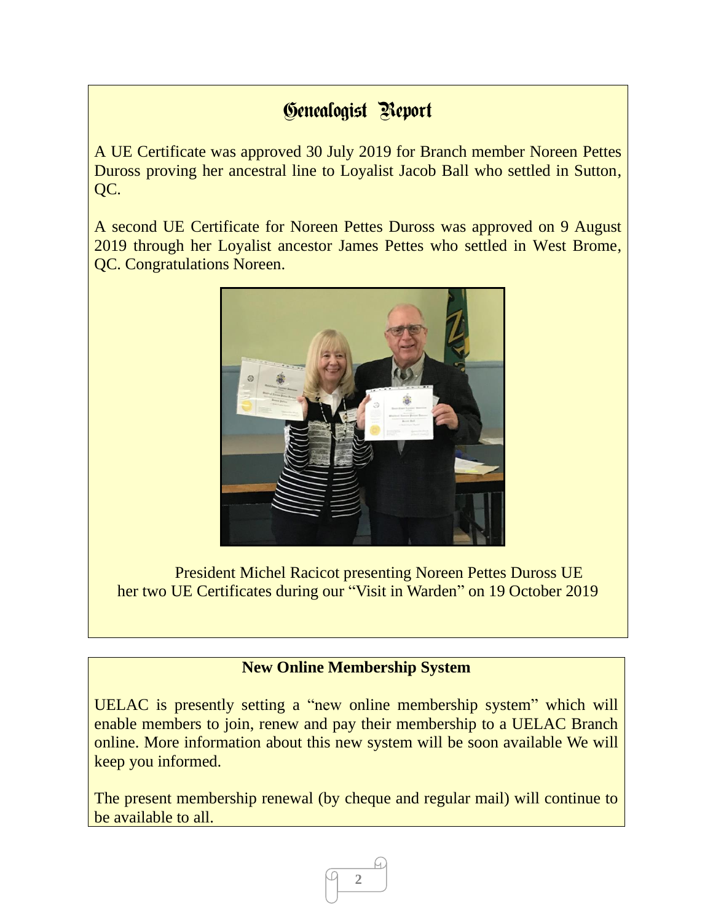## Genealogist Report

A UE Certificate was approved 30 July 2019 for Branch member Noreen Pettes Duross proving her ancestral line to Loyalist Jacob Ball who settled in Sutton, QC.

A second UE Certificate for Noreen Pettes Duross was approved on 9 August 2019 through her Loyalist ancestor James Pettes who settled in West Brome, QC. Congratulations Noreen.



President Michel Racicot presenting Noreen Pettes Duross UE her two UE Certificates during our "Visit in Warden" on 19 October 2019

### **New Online Membership System**

UELAC is presently setting a "new online membership system" which will enable members to join, renew and pay their membership to a UELAC Branch online. More information about this new system will be soon available We will keep you informed.

The present membership renewal (by cheque and regular mail) will continue to be available to all.

**2**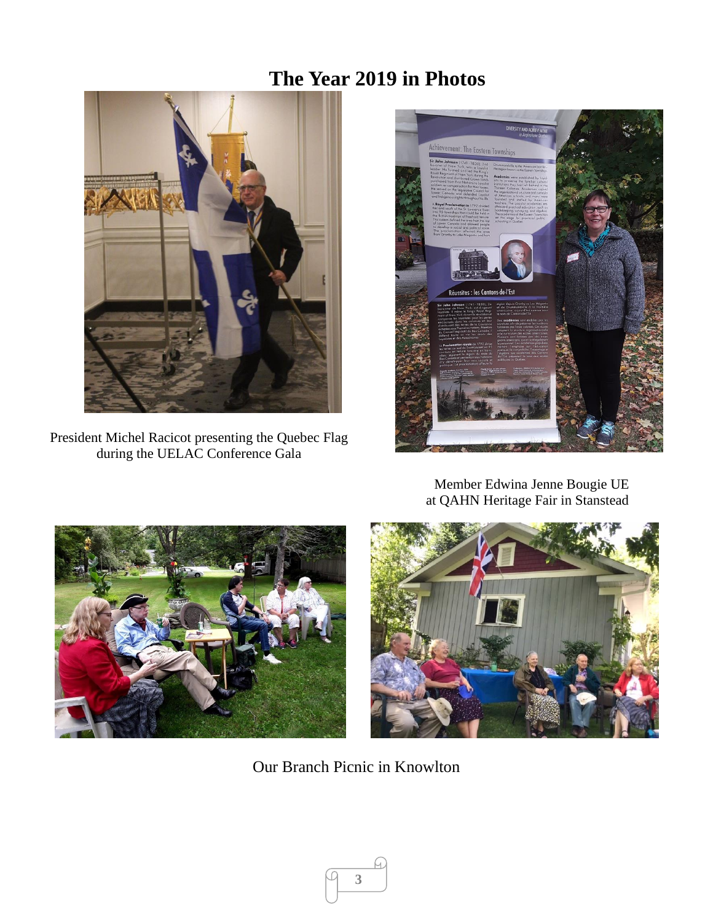## **The Year 2019 in Photos**



President Michel Racicot presenting the Quebec Flag during the UELAC Conference Gala



Member Edwina Jenne Bougie UE at QAHN Heritage Fair in Stanstead





Our Branch Picnic in Knowlton

**3**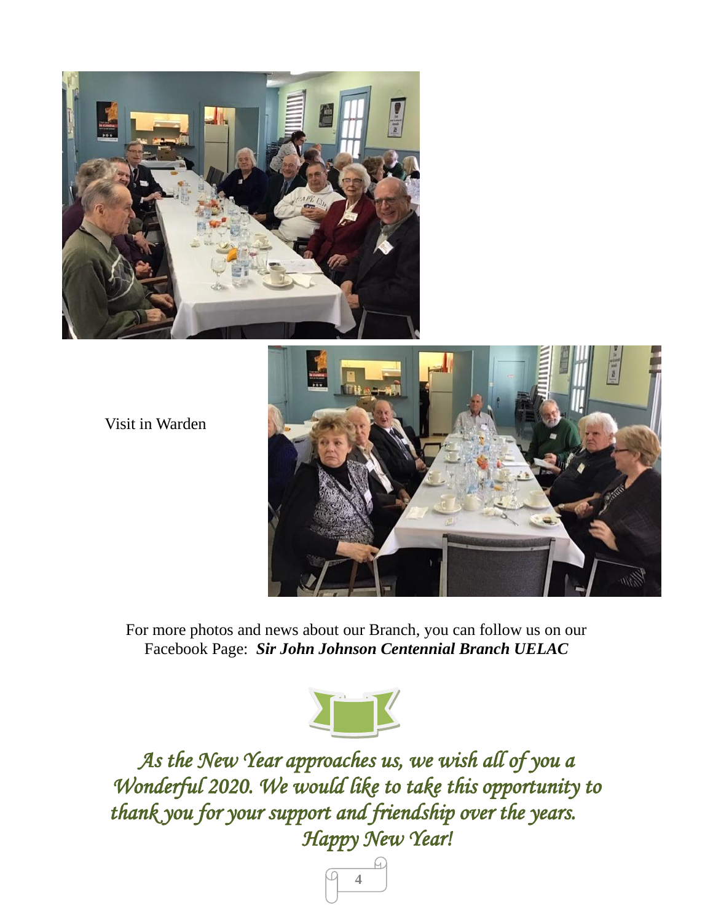

Visit in Warden



For more photos and news about our Branch, you can follow us on our Facebook Page: *Sir John Johnson Centennial Branch UELAC*



*As the New Year approaches us, we wish all of you a Wonderful 2020. We would like to take this opportunity to thank you for your support and friendship over the years. Happy New Year!* 

**4**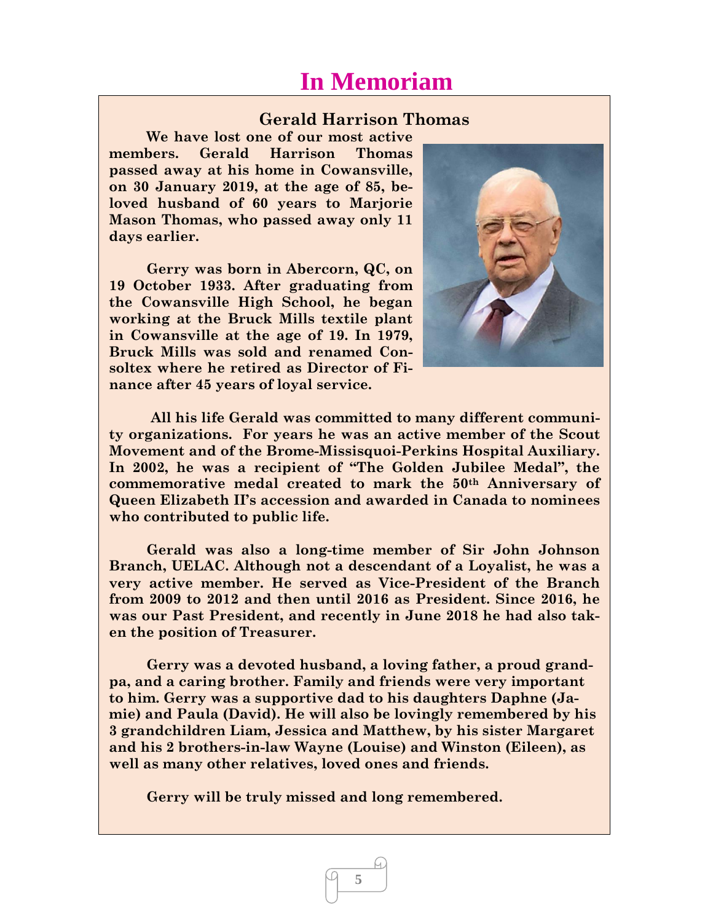## **In Memoriam**

#### **Gerald Harrison Thomas**

**We have lost one of our most active members. Gerald Harrison Thomas passed away at his home in Cowansville, on 30 January 2019, at the age of 85, beloved husband of 60 years to Marjorie Mason Thomas, who passed away only 11 days earlier.**

**Gerry was born in Abercorn, QC, on 19 October 1933. After graduating from the Cowansville High School, he began working at the Bruck Mills textile plant in Cowansville at the age of 19. In 1979, Bruck Mills was sold and renamed Consoltex where he retired as Director of Finance after 45 years of loyal service.**



**All his life Gerald was committed to many different community organizations. For years he was an active member of the Scout Movement and of the Brome-Missisquoi-Perkins Hospital Auxiliary. In 2002, he was a recipient of "The Golden Jubilee Medal", the commemorative medal created to mark the 50th Anniversary of Queen Elizabeth II's accession and awarded in Canada to nominees who contributed to public life.** 

**Gerald was also a long-time member of Sir John Johnson Branch, UELAC. Although not a descendant of a Loyalist, he was a very active member. He served as Vice-President of the Branch from 2009 to 2012 and then until 2016 as President. Since 2016, he was our Past President, and recently in June 2018 he had also taken the position of Treasurer.**

**Gerry was a devoted husband, a loving father, a proud grandpa, and a caring brother. Family and friends were very important to him. Gerry was a supportive dad to his daughters Daphne (Jamie) and Paula (David). He will also be lovingly remembered by his 3 grandchildren Liam, Jessica and Matthew, by his sister Margaret and his 2 brothers-in-law Wayne (Louise) and Winston (Eileen), as well as many other relatives, loved ones and friends.**

**5**

**Gerry will be truly missed and long remembered.**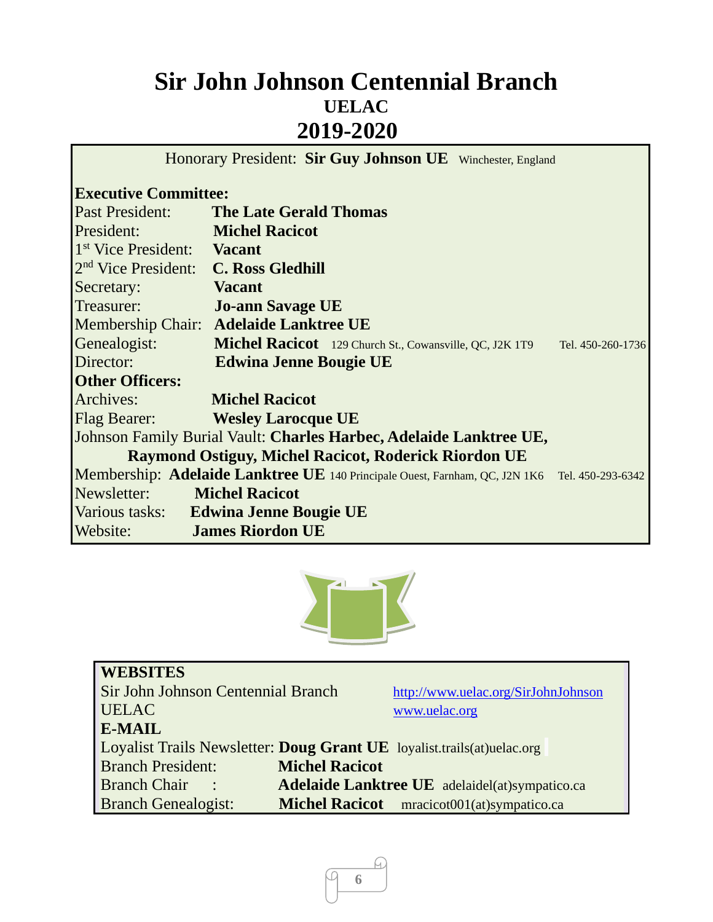# **Sir John Johnson Centennial Branch UELAC 2019-2020**

Honorary President: **Sir Guy Johnson UE** Winchester, England

## **Executive Committee:**

| Past President:                   | <b>The Late Gerald Thomas</b>                                                                 |  |
|-----------------------------------|-----------------------------------------------------------------------------------------------|--|
| President:                        | <b>Michel Racicot</b>                                                                         |  |
| 1 <sup>st</sup> Vice President:   | <b>Vacant</b>                                                                                 |  |
| $2nd$ Vice President:             | <b>C. Ross Gledhill</b>                                                                       |  |
| Secretary:                        | <b>Vacant</b>                                                                                 |  |
| Treasurer:                        | <b>Jo-ann Savage UE</b>                                                                       |  |
|                                   | Membership Chair: Adelaide Lanktree UE                                                        |  |
| Genealogist:                      | Michel Racicot 129 Church St., Cowansville, QC, J2K 1T9 Tel. 450-260-1736                     |  |
| Director:                         | <b>Edwina Jenne Bougie UE</b>                                                                 |  |
| <b>Other Officers:</b>            |                                                                                               |  |
| Archives:                         | <b>Michel Racicot</b>                                                                         |  |
|                                   | Flag Bearer: Wesley Larocque UE                                                               |  |
|                                   | Johnson Family Burial Vault: Charles Harbec, Adelaide Lanktree UE,                            |  |
|                                   | <b>Raymond Ostiguy, Michel Racicot, Roderick Riordon UE</b>                                   |  |
|                                   | Membership: Adelaide Lanktree UE 140 Principale Ouest, Farnham, QC, J2N 1K6 Tel. 450-293-6342 |  |
| <b>Newsletter:</b> Michel Racicot |                                                                                               |  |
|                                   | Various tasks: Edwina Jenne Bougie UE                                                         |  |
| Website:                          | <b>James Riordon UE</b>                                                                       |  |



| <b>WEBSITES</b>                    |                                                                        |
|------------------------------------|------------------------------------------------------------------------|
| Sir John Johnson Centennial Branch | http://www.uelac.org/SirJohnJohnson                                    |
| <b>UELAC</b>                       | www.uelac.org                                                          |
| E-MAIL                             |                                                                        |
|                                    | Loyalist Trails Newsletter: Doug Grant UE loyalist.trails(at)uelac.org |
| <b>Branch President:</b>           | <b>Michel Racicot</b>                                                  |
| <b>Branch Chair</b> :              | <b>Adelaide Lanktree UE</b> adelaidel(at)sympatico.ca                  |
| <b>Branch Genealogist:</b>         | Michel Racicot mracicot001(at)sympatico.ca                             |

ū